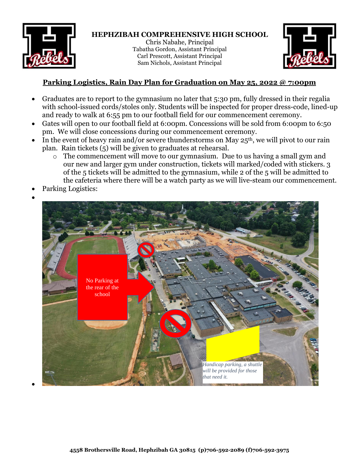

## **HEPHZIBAH COMPREHENSIVE HIGH SCHOOL**

Chris Nabahe, Principal Tabatha Gordon, Assistant Principal Carl Prescott, Assistant Principal Sam Nichols, Assistant Principal



## **Parking Logistics, Rain Day Plan for Graduation on May 25, 2022 @ 7:00pm**

- Graduates are to report to the gymnasium no later that 5:30 pm, fully dressed in their regalia with school-issued cords/stoles only. Students will be inspected for proper dress-code, lined-up and ready to walk at 6:55 pm to our football field for our commencement ceremony.
- Gates will open to our football field at 6:00pm. Concessions will be sold from 6:00pm to 6:50 pm. We will close concessions during our commencement ceremony.
- In the event of heavy rain and/or severe thunderstorms on May  $25<sup>th</sup>$ , we will pivot to our rain plan. Rain tickets (5) will be given to graduates at rehearsal.
	- o The commencement will move to our gymnasium. Due to us having a small gym and our new and larger gym under construction, tickets will marked/coded with stickers. 3 of the 5 tickets will be admitted to the gymnasium, while 2 of the 5 will be admitted to the cafeteria where there will be a watch party as we will live-steam our commencement.
- Parking Logistics:

•

•